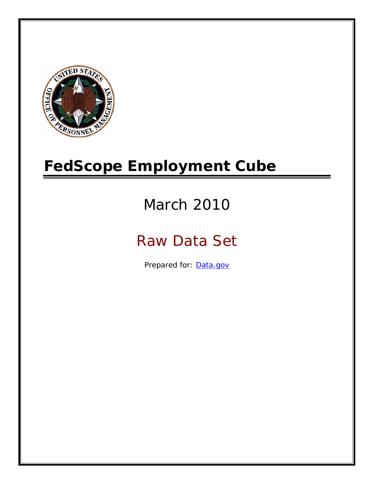

# **FedScope Employment Cube**

# March 2010

# Raw Data Set

Prepared for: [Data.gov](http://www.data.gov/)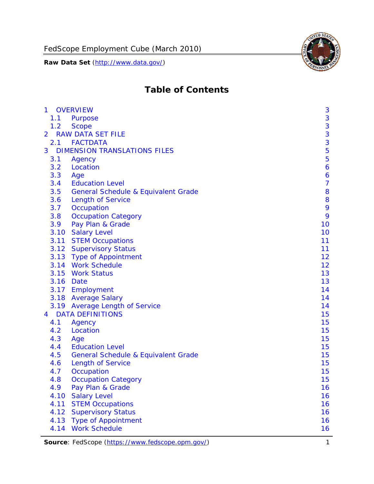

# **Table of Contents**

| $\mathbf{1}$   |      | <b>OVERVIEW</b>                                | 3              |
|----------------|------|------------------------------------------------|----------------|
|                | 1.1  | Purpose                                        | 3              |
|                | 1.2  | <b>Scope</b>                                   | 3              |
| $\overline{2}$ |      | <b>RAW DATA SET FILE</b>                       | 3              |
|                | 2.1  | <b>FACTDATA</b>                                | 3              |
| 3              |      | <b>DIMENSION TRANSLATIONS FILES</b>            | 5              |
|                | 3.1  | Agency                                         | 5              |
|                | 3.2  | Location                                       | 6              |
|                | 3.3  | Age                                            | 6              |
|                | 3.4  | <b>Education Level</b>                         | $\overline{7}$ |
|                | 3.5  | <b>General Schedule &amp; Equivalent Grade</b> | 8              |
|                | 3.6  | <b>Length of Service</b>                       | 8              |
|                | 3.7  | Occupation                                     | 9              |
|                | 3.8  | <b>Occupation Category</b>                     | 9              |
|                | 3.9  | Pay Plan & Grade                               | 10             |
|                | 3.10 | <b>Salary Level</b>                            | 10             |
|                | 3.11 | <b>STEM Occupations</b>                        | 11             |
|                |      | 3.12 Supervisory Status                        | 11             |
|                |      | 3.13 Type of Appointment                       | 12             |
|                |      | 3.14 Work Schedule                             | 12             |
|                | 3.15 | <b>Work Status</b>                             | 13             |
|                |      | 3.16 Date                                      | 13             |
|                |      | 3.17 Employment                                | 14             |
|                |      | 3.18 Average Salary                            | 14             |
|                | 3.19 | <b>Average Length of Service</b>               | 14             |
| $\overline{4}$ |      | <b>DATA DEFINITIONS</b>                        | 15             |
|                | 4.1  | Agency                                         | 15             |
|                | 4.2  | Location                                       | 15             |
|                | 4.3  | Age                                            | 15             |
|                | 4.4  | <b>Education Level</b>                         | 15             |
|                | 4.5  | <b>General Schedule &amp; Equivalent Grade</b> | 15             |
|                | 4.6  | <b>Length of Service</b>                       | 15             |
|                | 4.7  | Occupation                                     | 15             |
|                | 4.8  | <b>Occupation Category</b>                     | 15             |
|                | 4.9  | Pay Plan & Grade                               | 16             |
|                | 4.10 | <b>Salary Level</b>                            | 16             |
|                | 4.11 | <b>STEM Occupations</b>                        | 16             |
|                | 4.12 | <b>Supervisory Status</b>                      | 16             |
|                | 4.13 | <b>Type of Appointment</b>                     | 16             |
|                | 4.14 | <b>Work Schedule</b>                           | 16             |

Source: FedScope (https://www.fedscope.opm.gov/) 1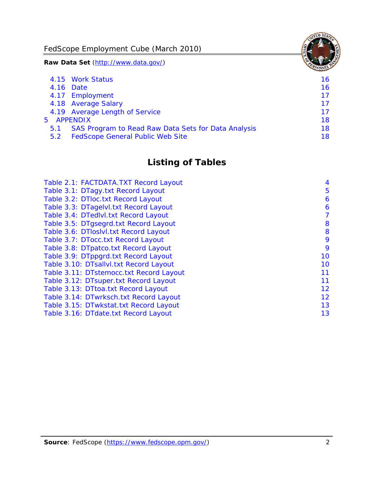FedScope Employment Cube (March 2010)

**Raw Data Set** (http://www.data.gov/)

|     | 4.15 Work Status                                    | 16 |
|-----|-----------------------------------------------------|----|
|     | 4.16 Date                                           | 16 |
|     | 4.17 Employment                                     | 17 |
|     | 4.18 Average Salary                                 | 17 |
|     | 4.19 Average Length of Service                      | 17 |
|     | 5 APPENDIX                                          | 18 |
| 5.1 | SAS Program to Read Raw Data Sets for Data Analysis | 18 |
| 5.2 | <b>FedScope General Public Web Site</b>             | 18 |

# **Listing of Tables**

| Table 2.1: FACTDATA.TXT Record Layout   | 4  |
|-----------------------------------------|----|
| Table 3.1: DTagy.txt Record Layout      | 5  |
| Table 3.2: DTloc.txt Record Layout      | 6  |
| Table 3.3: DTagelvl.txt Record Layout   | 6  |
| Table 3.4: DTedlvl.txt Record Layout    | 7  |
| Table 3.5: DTgsegrd.txt Record Layout   | 8  |
| Table 3.6: DTIoslyl.txt Record Layout   | 8  |
| Table 3.7: DTocc.txt Record Layout      | 9  |
| Table 3.8: DTpatco.txt Record Layout    | 9  |
| Table 3.9: DTppgrd.txt Record Layout    | 10 |
| Table 3.10: DTsallvl.txt Record Layout  | 10 |
| Table 3.11: DTstemocc.txt Record Layout | 11 |
| Table 3.12: DTsuper.txt Record Layout   | 11 |
| Table 3.13: DTtoa.txt Record Layout     | 12 |
| Table 3.14: DTwrksch.txt Record Layout  | 12 |
| Table 3.15: DTwkstat.txt Record Layout  | 13 |
| Table 3.16: DTdate.txt Record Layout    | 13 |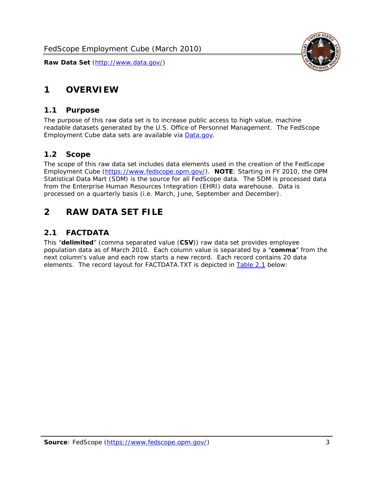<span id="page-3-0"></span>

#### *1.1 Purpose*

<span id="page-3-1"></span>The purpose of this raw data set is to increase public access to high value, machine readable datasets generated by the U.S. Office of Personnel Management. The FedScope Employment Cube data sets are available via [Data.gov](http://www.data.gov/).

#### <span id="page-3-2"></span>*1.2 Scope*

The scope of this raw data set includes data elements used in the creation of the FedScope Employment Cube [\(https://www.fedscope.opm.gov/\)](https://www.fedscope.opm.gov/). **NOTE**: Starting in FY 2010, the OPM Statistical Data Mart (SDM) is the source for all FedScope data. The SDM is processed data from the Enterprise Human Resources Integration (EHRI) data warehouse. Data is processed on a quarterly basis (i.e. March, June, September and December).

# <span id="page-3-3"></span>**2 RAW DATA SET FILE**

# <span id="page-3-4"></span>*2.1 FACTDATA*

This "**delimited**" (comma separated value (**CSV**)) raw data set provides employee population data as of March 2010. Each column value is separated by a "**comma**" from the next column's value and each row starts a new record. Each record contains 20 data elements. The record layout for FACTDATA.TXT is depicted in [Table 2.1](#page-4-1) below:

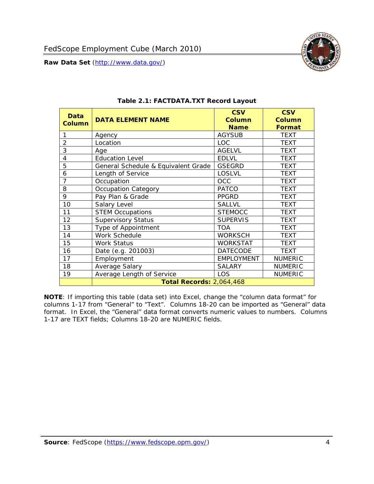

<span id="page-4-1"></span><span id="page-4-0"></span>

| <b>Data</b>    | <b>DATA ELEMENT NAME</b>            | <b>CSV</b><br><b>Column</b> | <b>CSV</b><br><b>Column</b> |
|----------------|-------------------------------------|-----------------------------|-----------------------------|
| <b>Column</b>  |                                     | <b>Name</b>                 | Format                      |
| 1              | Agency                              | <b>AGYSUB</b>               | <b>TEXT</b>                 |
| $\overline{2}$ | Location                            | LOC                         | <b>TEXT</b>                 |
| 3              | Age                                 | <b>AGELVL</b>               | <b>TEXT</b>                 |
| 4              | <b>Education Level</b>              | <b>EDLVL</b>                | <b>TEXT</b>                 |
| 5              | General Schedule & Equivalent Grade | <b>GSEGRD</b>               | <b>TEXT</b>                 |
| 6              | Length of Service                   | <b>LOSLVL</b>               | <b>TEXT</b>                 |
| 7              | Occupation                          | <b>OCC</b>                  | <b>TEXT</b>                 |
| 8              | <b>Occupation Category</b>          | <b>PATCO</b>                | <b>TEXT</b>                 |
| 9              | Pay Plan & Grade                    | <b>PPGRD</b>                | <b>TEXT</b>                 |
| 10             | Salary Level                        | <b>SALLVL</b>               | <b>TEXT</b>                 |
| 11             | <b>STEM Occupations</b>             | <b>STEMOCC</b>              | <b>TEXT</b>                 |
| 12             | Supervisory Status                  | <b>SUPERVIS</b>             | <b>TEXT</b>                 |
| 13             | Type of Appointment                 | <b>TOA</b>                  | <b>TEXT</b>                 |
| 14             | Work Schedule                       | <b>WORKSCH</b>              | <b>TEXT</b>                 |
| 15             | <b>Work Status</b>                  | <b>WORKSTAT</b>             | TEXT                        |
| 16             | Date (e.g. 201003)                  | <b>DATECODE</b>             | <b>TEXT</b>                 |
| 17             | Employment                          | <b>EMPLOYMENT</b>           | <b>NUMERIC</b>              |
| 18             | Average Salary                      | <b>SALARY</b>               | <b>NUMERIC</b>              |
| 19             | Average Length of Service           | <b>LOS</b>                  | <b>NUMERIC</b>              |
|                | <b>Total Records: 2,064,468</b>     |                             |                             |

#### **Table 2.1: FACTDATA.TXT Record Layout**

**NOTE**: If importing this table (data set) into Excel, change the "column data format" for columns 1-17 from "General" to "Text". Columns 18-20 can be imported as "General" data format. In Excel, the "General" data format converts numeric values to numbers. Columns 1-17 are TEXT fields; Columns 18-20 are NUMERIC fields.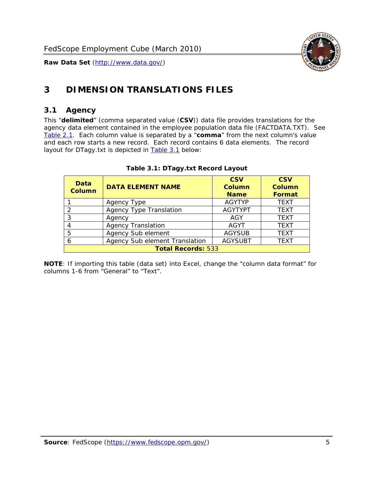

# <span id="page-5-0"></span>**3 DIMENSION TRANSLATIONS FILES**

#### <span id="page-5-1"></span>*3.1 Agency*

<span id="page-5-3"></span><span id="page-5-2"></span>This "**delimited**" (comma separated value (**CSV**)) data file provides translations for the agency data element contained in the employee population data file (FACTDATA.TXT). See [Table 2.1.](#page-4-1) Each column value is separated by a "**comma**" from the next column's value and each row starts a new record. Each record contains 6 data elements. The record layout for DTagy.txt is depicted in **Table 3.1** below:

| Data<br><b>Column</b>     | <b>DATA ELEMENT NAME</b>       | <b>CSV</b><br><b>Column</b><br><b>Name</b> | <b>CSV</b><br>Column<br><b>Format</b> |
|---------------------------|--------------------------------|--------------------------------------------|---------------------------------------|
|                           | Agency Type                    | <b>AGYTYP</b>                              | <b>TEXT</b>                           |
| 2                         | <b>Agency Type Translation</b> | <b>AGYTYPT</b>                             | <b>TEXT</b>                           |
| 3                         | Agency                         | AGY                                        | <b>TEXT</b>                           |
|                           | <b>Agency Translation</b>      | <b>AGYT</b>                                | <b>TEXT</b>                           |
| -5                        | Agency Sub element             | <b>AGYSUB</b>                              | <b>TEXT</b>                           |
|                           | Agency Sub element Translation | <b>AGYSUBT</b>                             | <b>TEXT</b>                           |
| <b>Total Records: 533</b> |                                |                                            |                                       |

#### **Table 3.1: DTagy.txt Record Layout**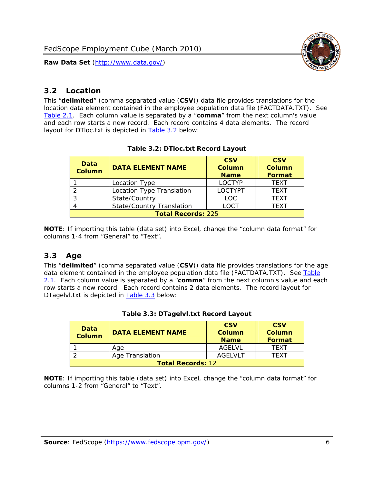

### <span id="page-6-0"></span>*3.2 Location*

<span id="page-6-4"></span><span id="page-6-2"></span>This "**delimited**" (comma separated value (**CSV**)) data file provides translations for the location data element contained in the employee population data file (FACTDATA.TXT). See [Table 2.1.](#page-4-1) Each column value is separated by a "**comma**" from the next column's value and each row starts a new record. Each record contains 4 data elements. The record layout for DTloc.txt is depicted in [Table 3.2](#page-6-4) below:

| Data<br><b>Column</b>     | <b>DATA ELEMENT NAME</b>         | <b>CSV</b><br>Column<br><b>Name</b> | <b>CSV</b><br><b>Column</b><br><b>Format</b> |
|---------------------------|----------------------------------|-------------------------------------|----------------------------------------------|
|                           | Location Type                    | <b>LOCTYP</b>                       | <b>TEXT</b>                                  |
|                           | Location Type Translation        | <b>LOCTYPT</b>                      | <b>TFXT</b>                                  |
| ⌒                         | State/Country                    | LOC.                                | <b>TEXT</b>                                  |
|                           | <b>State/Country Translation</b> | LOCT                                | <b>TFXT</b>                                  |
| <b>Total Records: 225</b> |                                  |                                     |                                              |

#### **Table 3.2: DTloc.txt Record Layout**

**NOTE**: If importing this table (data set) into Excel, change the "column data format" for columns 1-4 from "General" to "Text".

#### <span id="page-6-1"></span>*3.3 Age*

<span id="page-6-5"></span><span id="page-6-3"></span>This "**delimited**" (comma separated value (**CSV**)) data file provides translations for the age data element contained in the employee population data file (FACTDATA.TXT). See [Table](#page-4-1) [2.1](#page-4-1). Each column value is separated by a "**comma**" from the next column's value and each row starts a new record. Each record contains 2 data elements. The record layout for DTagelvl.txt is depicted in **[Table 3.3](#page-6-5)** below:

| Data<br><b>Column</b>    | <b>DATA ELEMENT NAME</b> | <b>CSV</b><br>Column<br><b>Name</b> | <b>CSV</b><br>Column<br><b>Format</b> |
|--------------------------|--------------------------|-------------------------------------|---------------------------------------|
|                          | Aae                      | AGFI VI                             | TFXT                                  |
|                          | Age Translation          | AGFI VI T                           | TFXT                                  |
| <b>Total Records: 12</b> |                          |                                     |                                       |

#### **Table 3.3: DTagelvl.txt Record Layout**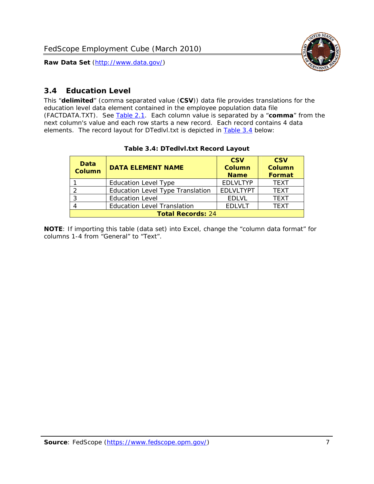

### <span id="page-7-0"></span>*3.4 Education Level*

<span id="page-7-2"></span><span id="page-7-1"></span>This "**delimited**" (comma separated value (**CSV**)) data file provides translations for the education level data element contained in the employee population data file (FACTDATA.TXT). See [Table 2.1](#page-4-1). Each column value is separated by a "**comma**" from the next column's value and each row starts a new record. Each record contains 4 data elements. The record layout for DTedlvl.txt is depicted in [Table 3.4](#page-7-2) below:

| Data<br><b>Column</b>    | <b>DATA ELEMENT NAME</b>                | <b>CSV</b><br><b>Column</b><br><b>Name</b> | <b>CSV</b><br><b>Column</b><br><b>Format</b> |
|--------------------------|-----------------------------------------|--------------------------------------------|----------------------------------------------|
|                          | <b>Education Level Type</b>             | <b>EDLVLTYP</b>                            | <b>TEXT</b>                                  |
|                          | <b>Education Level Type Translation</b> | <b>EDLVLTYPT</b>                           | <b>TEXT</b>                                  |
|                          | <b>Education Level</b>                  | <b>EDLVL</b>                               | <b>TEXT</b>                                  |
|                          | <b>Education Level Translation</b>      | <b>EDLVLT</b>                              | <b>TEXT</b>                                  |
| <b>Total Records: 24</b> |                                         |                                            |                                              |

#### **Table 3.4: DTedlvl.txt Record Layout**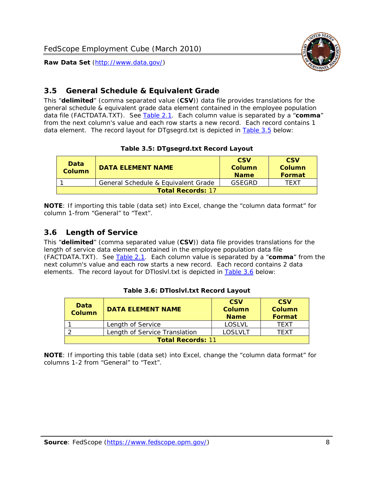

#### <span id="page-8-0"></span>*3.5 General Schedule & Equivalent Grade*

This "**delimited**" (comma separated value (**CSV**)) data file provides translations for the general schedule & equivalent grade data element contained in the employee population data file (FACTDATA.TXT). See [Table 2.1](#page-4-1). Each column value is separated by a "**comma**" from the next column's value and each row starts a new record. Each record contains 1 data element. The record layout for DTgsegrd.txt is depicted in [Table 3.5](#page-8-4) below:

#### **Table 3.5: DTgsegrd.txt Record Layout**

<span id="page-8-4"></span><span id="page-8-2"></span>

| Data<br>Column           | DATA FI FMFNT NAMF                  | <b>CSV</b><br>Column<br><b>Name</b> | <b>CSV</b><br>Column<br>Format |
|--------------------------|-------------------------------------|-------------------------------------|--------------------------------|
|                          | General Schedule & Equivalent Grade | GSEGRD                              | TFXT                           |
| <b>Total Records: 17</b> |                                     |                                     |                                |

**NOTE**: If importing this table (data set) into Excel, change the "column data format" for column 1-from "General" to "Text".

#### <span id="page-8-1"></span>*3.6 Length of Service*

<span id="page-8-5"></span>This "**delimited**" (comma separated value (**CSV**)) data file provides translations for the length of service data element contained in the employee population data file (FACTDATA.TXT). See [Table 2.1](#page-4-1). Each column value is separated by a "**comma**" from the next column's value and each row starts a new record. Each record contains 2 data elements. The record layout for DTloslvl.txt is depicted in [Table 3.6](#page-8-5) below:

<span id="page-8-3"></span>

| Data<br><b>Column</b>    | <b>DATA ELEMENT NAME</b>      | <b>CSV</b><br><b>Column</b><br><b>Name</b> | <b>CSV</b><br>Column<br>Format |  |
|--------------------------|-------------------------------|--------------------------------------------|--------------------------------|--|
|                          | Length of Service             | LOSLVL                                     | TFXT                           |  |
|                          | Length of Service Translation | LOSI VLT                                   | TFXT                           |  |
| <b>Total Records: 11</b> |                               |                                            |                                |  |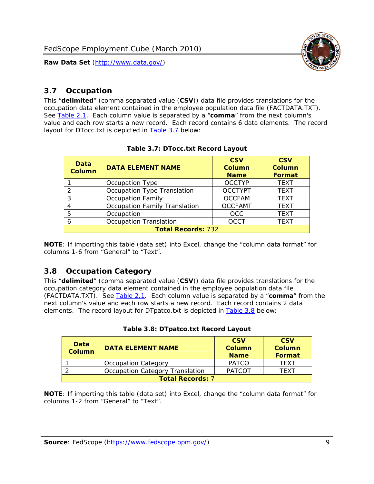

#### <span id="page-9-0"></span>*3.7 Occupation*

<span id="page-9-4"></span>This "**delimited**" (comma separated value (**CSV**)) data file provides translations for the occupation data element contained in the employee population data file (FACTDATA.TXT). See [Table 2.1](#page-4-1). Each column value is separated by a "**comma**" from the next column's value and each row starts a new record. Each record contains 6 data elements. The record layout for DTocc.txt is depicted in [Table 3.7](#page-9-4) below:

<span id="page-9-2"></span>

| Data<br><b>Column</b>     | <b>DATA ELEMENT NAME</b>             | <b>CSV</b><br>Column<br><b>Name</b> | <b>CSV</b><br><b>Column</b><br><b>Format</b> |
|---------------------------|--------------------------------------|-------------------------------------|----------------------------------------------|
|                           | Occupation Type                      | <b>OCCTYP</b>                       | <b>TEXT</b>                                  |
|                           | Occupation Type Translation          | <b>OCCTYPT</b>                      | <b>TEXT</b>                                  |
| 3                         | <b>Occupation Family</b>             | <b>OCCFAM</b>                       | <b>TEXT</b>                                  |
|                           | <b>Occupation Family Translation</b> | <b>OCCFAMT</b>                      | <b>TEXT</b>                                  |
| 5                         | Occupation                           | <b>OCC</b>                          | <b>TEXT</b>                                  |
|                           | <b>Occupation Translation</b>        | <b>OCCT</b>                         | <b>TEXT</b>                                  |
| <b>Total Records: 732</b> |                                      |                                     |                                              |

#### **Table 3.7: DTocc.txt Record Layout**

**NOTE**: If importing this table (data set) into Excel, change the "column data format" for columns 1-6 from "General" to "Text".

#### <span id="page-9-1"></span>*3.8 Occupation Category*

<span id="page-9-5"></span>This "**delimited**" (comma separated value (**CSV**)) data file provides translations for the occupation category data element contained in the employee population data file (FACTDATA.TXT). See [Table 2.1](#page-4-1). Each column value is separated by a "**comma**" from the next column's value and each row starts a new record. Each record contains 2 data elements. The record layout for DTpatco.txt is depicted in [Table 3.8](#page-9-5) below:

<span id="page-9-3"></span>

| Data<br><b>Column</b>   | <b>DATA ELEMENT NAME</b>        | <b>CSV</b><br>Column<br><b>Name</b> | <b>CSV</b><br>Column<br>Format |  |
|-------------------------|---------------------------------|-------------------------------------|--------------------------------|--|
|                         | <b>Occupation Category</b>      | <b>PATCO</b>                        | <b>TFXT</b>                    |  |
|                         | Occupation Category Translation | <b>PATCOT</b>                       | TFXT                           |  |
| <b>Total Records: 7</b> |                                 |                                     |                                |  |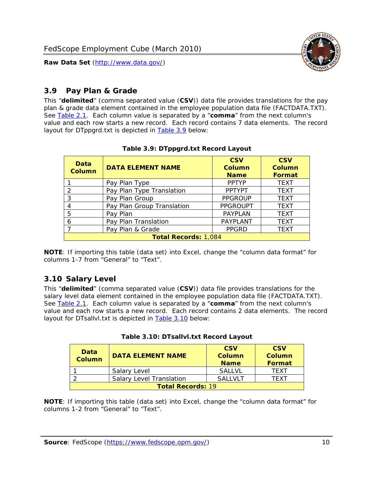

## <span id="page-10-0"></span>*3.9 Pay Plan & Grade*

<span id="page-10-4"></span>This "**delimited**" (comma separated value (**CSV**)) data file provides translations for the pay plan & grade data element contained in the employee population data file (FACTDATA.TXT). See [Table 2.1](#page-4-1). Each column value is separated by a "**comma**" from the next column's value and each row starts a new record. Each record contains 7 data elements. The record layout for DTppgrd.txt is depicted in **Table 3.9** below:

<span id="page-10-2"></span>

| Data<br><b>DATA ELEMENT NAME</b><br><b>Column</b> |                            | <b>CSV</b><br>Column<br><b>Name</b> | <b>CSV</b><br>Column<br><b>Format</b> |  |
|---------------------------------------------------|----------------------------|-------------------------------------|---------------------------------------|--|
|                                                   | Pay Plan Type              | <b>PPTYP</b>                        | <b>TEXT</b>                           |  |
| $\mathcal{P}$                                     | Pay Plan Type Translation  | <b>PPTYPT</b>                       | <b>TEXT</b>                           |  |
| 3                                                 | Pay Plan Group             | <b>PPGROUP</b>                      | <b>TEXT</b>                           |  |
|                                                   | Pay Plan Group Translation | <b>PPGROUPT</b>                     | <b>TEXT</b>                           |  |
| 5                                                 | Pay Plan                   | <b>PAYPLAN</b>                      | <b>TEXT</b>                           |  |
| 6                                                 | Pay Plan Translation       | <b>PAYPLANT</b>                     | <b>TEXT</b>                           |  |
|                                                   | Pay Plan & Grade           | <b>PPGRD</b>                        | <b>TEXT</b>                           |  |
| <b>Total Records: 1,084</b>                       |                            |                                     |                                       |  |

#### **Table 3.9: DTppgrd.txt Record Layout**

**NOTE**: If importing this table (data set) into Excel, change the "column data format" for columns 1-7 from "General" to "Text".

# <span id="page-10-1"></span>*3.10 Salary Level*

<span id="page-10-5"></span><span id="page-10-3"></span>This "**delimited**" (comma separated value (**CSV**)) data file provides translations for the salary level data element contained in the employee population data file (FACTDATA.TXT). See [Table 2.1](#page-4-1). Each column value is separated by a "**comma**" from the next column's value and each row starts a new record. Each record contains 2 data elements. The record layout for DTsallvl.txt is depicted in [Table 3.10](#page-10-5) below:

| Data<br>Column           | <b>DATA ELEMENT NAME</b>        | <b>CSV</b><br>Column<br><b>Name</b> | <b>CSV</b><br>Column<br><b>Format</b> |
|--------------------------|---------------------------------|-------------------------------------|---------------------------------------|
|                          | Salary Level                    | <b>SALLVL</b>                       | TFXT                                  |
|                          | <b>Salary Level Translation</b> | SAI I VI T                          | TEXT                                  |
| <b>Total Records: 19</b> |                                 |                                     |                                       |

| Table 3.10: DTsallvl.txt Record Layout |
|----------------------------------------|
|----------------------------------------|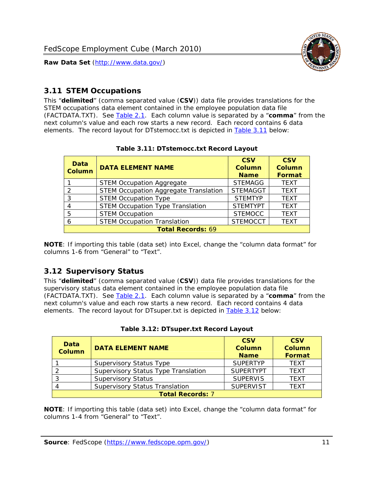

#### <span id="page-11-0"></span>*3.11 STEM Occupations*

<span id="page-11-4"></span>This "**delimited**" (comma separated value (**CSV**)) data file provides translations for the STEM occupations data element contained in the employee population data file (FACTDATA.TXT). See [Table 2.1](#page-4-1). Each column value is separated by a "**comma**" from the next column's value and each row starts a new record. Each record contains 6 data elements. The record layout for DTstemocc.txt is depicted in [Table 3.11](#page-11-4) below:

<span id="page-11-2"></span>

| <b>Data</b><br><b>Column</b> | <b>DATA ELEMENT NAME</b>                     | <b>CSV</b><br><b>Column</b><br><b>Name</b> | <b>CSV</b><br><b>Column</b><br>Format |  |  |
|------------------------------|----------------------------------------------|--------------------------------------------|---------------------------------------|--|--|
|                              | <b>STEM Occupation Aggregate</b>             | <b>STEMAGG</b>                             | <b>TEXT</b>                           |  |  |
|                              | <b>STEM Occupation Aggregate Translation</b> | <b>STEMAGGT</b>                            | <b>TEXT</b>                           |  |  |
| 3                            | <b>STEM Occupation Type</b>                  | <b>STEMTYP</b>                             | <b>TFXT</b>                           |  |  |
|                              | <b>STEM Occupation Type Translation</b>      | <b>STEMTYPT</b>                            | <b>TEXT</b>                           |  |  |
| 5                            | <b>STEM Occupation</b>                       | <b>STEMOCC</b>                             | <b>TEXT</b>                           |  |  |
|                              | <b>STEM Occupation Translation</b>           | <b>STEMOCCT</b>                            | <b>TEXT</b>                           |  |  |
| <b>Total Records: 69</b>     |                                              |                                            |                                       |  |  |

#### **Table 3.11: DTstemocc.txt Record Layout**

**NOTE**: If importing this table (data set) into Excel, change the "column data format" for columns 1-6 from "General" to "Text".

# <span id="page-11-1"></span>*3.12 Supervisory Status*

This "**delimited**" (comma separated value (**CSV**)) data file provides translations for the supervisory status data element contained in the employee population data file (FACTDATA.TXT). See [Table 2.1](#page-4-1). Each column value is separated by a "**comma**" from the next column's value and each row starts a new record. Each record contains 4 data elements. The record layout for DTsuper.txt is depicted in [Table 3.12](#page-11-5) below:

<span id="page-11-5"></span><span id="page-11-3"></span>

| Data<br><b>Column</b>   | <b>DATA ELEMENT NAME</b>              | <b>CSV</b><br><b>Column</b><br><b>Name</b> | <b>CSV</b><br><b>Column</b><br>Format |  |  |
|-------------------------|---------------------------------------|--------------------------------------------|---------------------------------------|--|--|
|                         | <b>Supervisory Status Type</b>        | <b>SUPFRTYP</b>                            | <b>TEXT</b>                           |  |  |
|                         | Supervisory Status Type Translation   | <b>SUPFRTYPT</b>                           | <b>TEXT</b>                           |  |  |
|                         | <b>Supervisory Status</b>             | <b>SUPERVIS</b>                            | <b>TEXT</b>                           |  |  |
|                         | <b>Supervisory Status Translation</b> | <b>SUPERVIST</b>                           | <b>TEXT</b>                           |  |  |
| <b>Total Records: 7</b> |                                       |                                            |                                       |  |  |

|  | Table 3.12: DTsuper.txt Record Layout |  |
|--|---------------------------------------|--|
|--|---------------------------------------|--|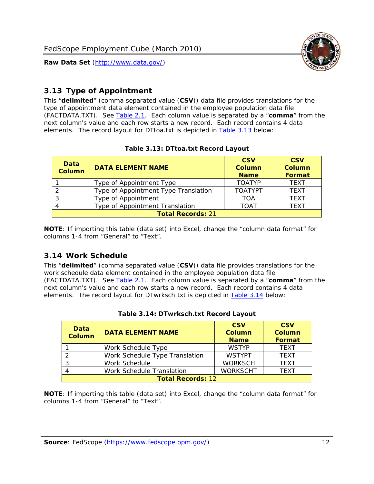

# <span id="page-12-0"></span>*3.13 Type of Appointment*

This "**delimited**" (comma separated value (**CSV**)) data file provides translations for the type of appointment data element contained in the employee population data file (FACTDATA.TXT). See [Table 2.1](#page-4-1). Each column value is separated by a "**comma**" from the next column's value and each row starts a new record. Each record contains 4 data elements. The record layout for DTtoa.txt is depicted in [Table 3.13](#page-12-4) below:

<span id="page-12-4"></span><span id="page-12-2"></span>

| Data<br><b>DATA ELEMENT NAME</b><br><b>Column</b> |                                      | <b>CSV</b><br><b>Column</b><br><b>Name</b> | <b>CSV</b><br><b>Column</b><br>Format |  |
|---------------------------------------------------|--------------------------------------|--------------------------------------------|---------------------------------------|--|
|                                                   | Type of Appointment Type             | <b>TOATYP</b>                              | <b>TEXT</b>                           |  |
|                                                   | Type of Appointment Type Translation | <b>TOATYPT</b>                             | <b>TEXT</b>                           |  |
|                                                   | Type of Appointment                  | TOA                                        | <b>TEXT</b>                           |  |
|                                                   | Type of Appointment Translation      | <b>TOAT</b>                                | <b>TEXT</b>                           |  |
| <b>Total Records: 21</b>                          |                                      |                                            |                                       |  |

#### **Table 3.13: DTtoa.txt Record Layout**

**NOTE**: If importing this table (data set) into Excel, change the "column data format" for columns 1-4 from "General" to "Text".

#### <span id="page-12-1"></span>*3.14 Work Schedule*

<span id="page-12-5"></span>This "**delimited**" (comma separated value (**CSV**)) data file provides translations for the work schedule data element contained in the employee population data file (FACTDATA.TXT). See [Table 2.1](#page-4-1). Each column value is separated by a "**comma**" from the next column's value and each row starts a new record. Each record contains 4 data elements. The record layout for DTwrksch.txt is depicted in [Table 3.14](#page-12-5) below:

<span id="page-12-3"></span>

| Data<br>Column           | <b>CSV</b><br><b>CSV</b><br><b>DATA ELEMENT NAME</b><br><b>Column</b><br>Column<br><b>Format</b><br><b>Name</b> |                 |             |  |
|--------------------------|-----------------------------------------------------------------------------------------------------------------|-----------------|-------------|--|
|                          | Work Schedule Type                                                                                              | <b>WSTYP</b>    | <b>TEXT</b> |  |
| 2                        | Work Schedule Type Translation                                                                                  | <b>WSTYPT</b>   | <b>TFXT</b> |  |
| 3                        | Work Schedule                                                                                                   | <b>WORKSCH</b>  | <b>TFXT</b> |  |
|                          | Work Schedule Translation                                                                                       | <b>WORKSCHT</b> | <b>TFXT</b> |  |
| <b>Total Records: 12</b> |                                                                                                                 |                 |             |  |

|  | Table 3.14: DTwrksch.txt Record Layout |  |
|--|----------------------------------------|--|
|  |                                        |  |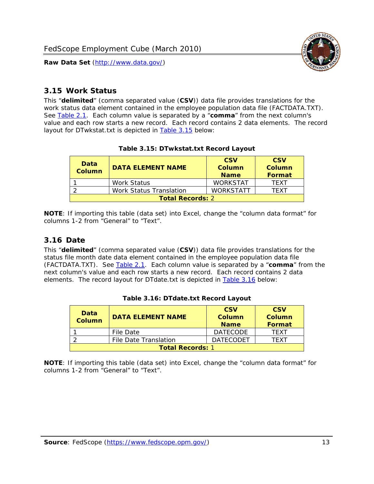

#### <span id="page-13-0"></span>*3.15 Work Status*

<span id="page-13-4"></span><span id="page-13-2"></span>This "**delimited**" (comma separated value (**CSV**)) data file provides translations for the work status data element contained in the employee population data file (FACTDATA.TXT). See [Table 2.1](#page-4-1). Each column value is separated by a "**comma**" from the next column's value and each row starts a new record. Each record contains 2 data elements. The record layout for DTwkstat.txt is depicted in [Table 3.15](#page-13-4) below:

| Data<br><b>Column</b>   | <b>DATA ELEMENT NAME</b> | <b>CSV</b><br>Column<br><b>Name</b> | <b>CSV</b><br>Column<br><b>Format</b> |
|-------------------------|--------------------------|-------------------------------------|---------------------------------------|
|                         | Work Status              | <b>WORKSTAT</b>                     | TFXT                                  |
|                         | Work Status Translation  | <b>WORKSTATT</b>                    | TFXT                                  |
| <b>Total Records: 2</b> |                          |                                     |                                       |

#### **Table 3.15: DTwkstat.txt Record Layout**

**NOTE**: If importing this table (data set) into Excel, change the "column data format" for columns 1-2 from "General" to "Text".

#### <span id="page-13-1"></span>*3.16 Date*

<span id="page-13-5"></span><span id="page-13-3"></span>This "**delimited**" (comma separated value (**CSV**)) data file provides translations for the status file month date data element contained in the employee population data file (FACTDATA.TXT). See [Table 2.1](#page-4-1). Each column value is separated by a "**comma**" from the next column's value and each row starts a new record. Each record contains 2 data elements. The record layout for DTdate.txt is depicted in [Table 3.16](#page-13-5) below:

| Data<br><b>Column</b>   | <b>DATA ELEMENT NAME</b> | <b>CSV</b><br>Column<br><b>Name</b> | <b>CSV</b><br>Column<br><b>Format</b> |
|-------------------------|--------------------------|-------------------------------------|---------------------------------------|
|                         | File Date                | <b>DATECODE</b>                     | TFXT                                  |
|                         | File Date Translation    | <b>DATECODET</b>                    | TFXT                                  |
| <b>Total Records: 1</b> |                          |                                     |                                       |

**Table 3.16: DTdate.txt Record Layout**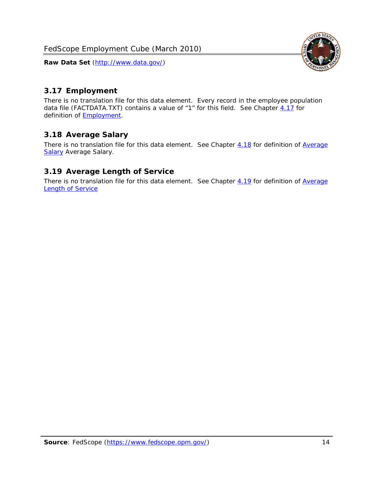<span id="page-14-0"></span>

There is no translation file for this data element. Every record in the employee population data file (FACTDATA.TXT) contains a value of "1" for this field. See Chapter [4.17](#page-16-8) for definition of **Employment**.

# <span id="page-14-1"></span>*3.18 Average Salary*

There is no translation file for this data element. See Chapter [4.18](#page-17-1) for definition of [Average](#page-17-1) **[Salary](#page-17-1) [Average Salary.](#page-17-1)** 

### <span id="page-14-2"></span>*3.19 Average Length of Service*

There is no translation file for this data element. See Chapter [4.19](#page-17-2) for definition of [Average](#page-17-2) Length of Service

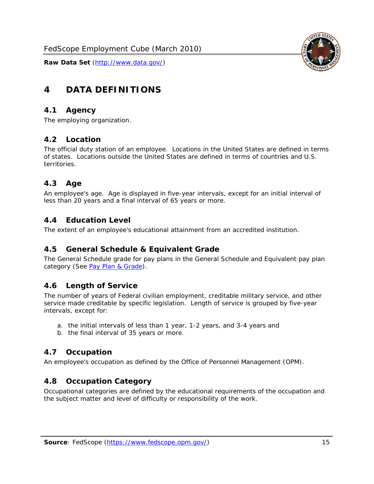

# <span id="page-15-0"></span>**4 DATA DEFINITIONS**

#### <span id="page-15-1"></span>*4.1 Agency*

The employing organization.

#### <span id="page-15-2"></span>*4.2 Location*

The official duty station of an employee. Locations in the United States are defined in terms of states. Locations outside the United States are defined in terms of countries and U.S. territories.

#### <span id="page-15-3"></span>*4.3 Age*

An employee's age. Age is displayed in five-year intervals, except for an initial interval of less than 20 years and a final interval of 65 years or more.

#### <span id="page-15-4"></span>*4.4 Education Level*

The extent of an employee's educational attainment from an accredited institution.

#### <span id="page-15-5"></span>*4.5 General Schedule & Equivalent Grade*

The General Schedule grade for pay plans in the General Schedule and Equivalent pay plan category (See [Pay Plan & Grade](#page-16-0)).

#### <span id="page-15-6"></span>*4.6 Length of Service*

The number of years of Federal civilian employment, creditable military service, and other service made creditable by specific legislation. Length of service is grouped by five-year intervals, except for:

- a. the initial intervals of less than 1 year, 1-2 years, and 3-4 years and
- b. the final interval of 35 years or more.

#### <span id="page-15-7"></span>*4.7 Occupation*

An employee's occupation as defined by the Office of Personnel Management (OPM).

#### <span id="page-15-8"></span>*4.8 Occupation Category*

Occupational categories are defined by the educational requirements of the occupation and the subject matter and level of difficulty or responsibility of the work.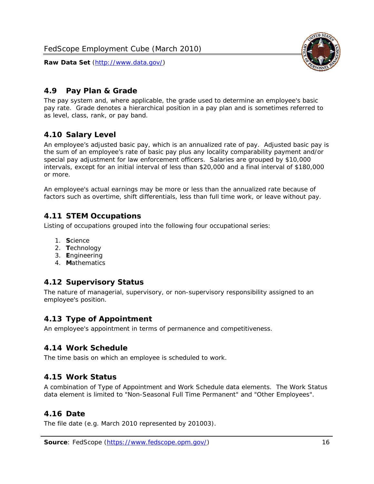

## <span id="page-16-0"></span>*4.9 Pay Plan & Grade*

The pay system and, where applicable, the grade used to determine an employee's basic pay rate. Grade denotes a hierarchical position in a pay plan and is sometimes referred to as level, class, rank, or pay band.

# <span id="page-16-1"></span>*4.10 Salary Level*

An employee's adjusted basic pay, which is an annualized rate of pay. Adjusted basic pay is the sum of an employee's rate of basic pay plus any locality comparability payment and/or special pay adjustment for law enforcement officers. Salaries are grouped by \$10,000 intervals, except for an initial interval of less than \$20,000 and a final interval of \$180,000 or more.

An employee's actual earnings may be more or less than the annualized rate because of factors such as overtime, shift differentials, less than full time work, or leave without pay.

### <span id="page-16-2"></span>*4.11 STEM Occupations*

Listing of occupations grouped into the following four occupational series:

- 1. **S**cience
- 2. **T**echnology
- 3. **E**ngineering
- 4. **M**athematics

#### <span id="page-16-3"></span>*4.12 Supervisory Status*

The nature of managerial, supervisory, or non-supervisory responsibility assigned to an employee's position.

#### <span id="page-16-4"></span>*4.13 Type of Appointment*

An employee's appointment in terms of permanence and competitiveness.

#### <span id="page-16-5"></span>*4.14 Work Schedule*

The time basis on which an employee is scheduled to work.

#### <span id="page-16-6"></span>*4.15 Work Status*

A combination of Type of Appointment and Work Schedule data elements. The Work Status data element is limited to "Non-Seasonal Full Time Permanent" and "Other Employees".

#### <span id="page-16-7"></span>*4.16 Date*

<span id="page-16-8"></span>The file date (e.g. March 2010 represented by 201003).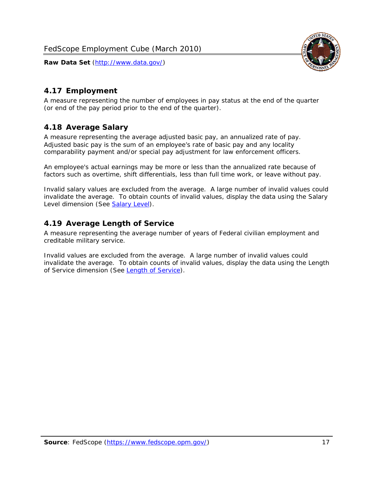

## <span id="page-17-0"></span>*4.17 Employment*

A measure representing the number of employees in pay status at the end of the quarter (or end of the pay period prior to the end of the quarter).

### <span id="page-17-1"></span>*4.18 Average Salary*

A measure representing the average adjusted basic pay, an annualized rate of pay. Adjusted basic pay is the sum of an employee's rate of basic pay and any locality comparability payment and/or special pay adjustment for law enforcement officers.

An employee's actual earnings may be more or less than the annualized rate because of factors such as overtime, shift differentials, less than full time work, or leave without pay.

Invalid salary values are excluded from the average. A large number of invalid values could invalidate the average. To obtain counts of invalid values, display the data using the Salary Level dimension (See [Salary Level\)](#page-16-1).

### <span id="page-17-2"></span>*4.19 Average Length of Service*

A measure representing the average number of years of Federal civilian employment and creditable military service.

Invalid values are excluded from the average. A large number of invalid values could invalidate the average. To obtain counts of invalid values, display the data using the Length of Service dimension (See [Length of Service](#page-15-6)).